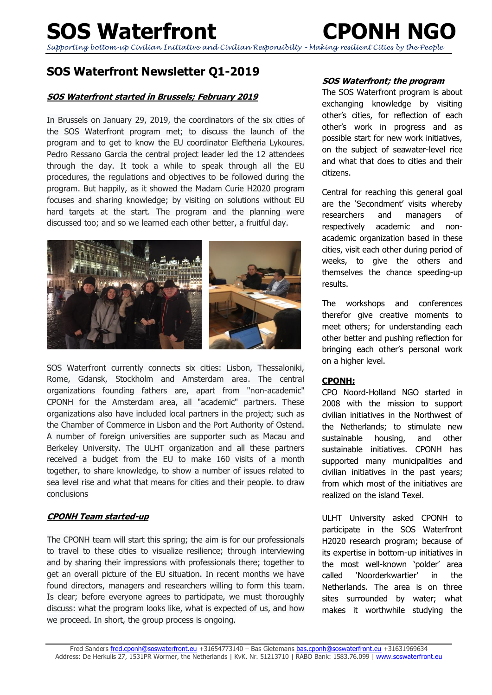# **SOS Waterfront CPONH NGO**

*Supporting bottom-up Civilian Initiative and Civilian Responsibilty – Making resilient Cities by the People*

## **SOS Waterfront Newsletter Q1-2019**

### **SOS Waterfront started in Brussels; February 2019**

In Brussels on January 29, 2019, the coordinators of the six cities of the SOS Waterfront program met; to discuss the launch of the program and to get to know the EU coordinator Eleftheria Lykoures. Pedro Ressano Garcia the central project leader led the 12 attendees through the day. It took a while to speak through all the EU procedures, the regulations and objectives to be followed during the program. But happily, as it showed the Madam Curie H2020 program focuses and sharing knowledge; by visiting on solutions without EU hard targets at the start. The program and the planning were discussed too; and so we learned each other better, a fruitful day.



SOS Waterfront currently connects six cities: Lisbon, Thessaloniki, Rome, Gdansk, Stockholm and Amsterdam area. The central organizations founding fathers are, apart from "non-academic" CPONH for the Amsterdam area, all "academic" partners. These organizations also have included local partners in the project; such as the Chamber of Commerce in Lisbon and the Port Authority of Ostend. A number of foreign universities are supporter such as Macau and Berkeley University. The ULHT organization and all these partners received a budget from the EU to make 160 visits of a month together, to share knowledge, to show a number of issues related to sea level rise and what that means for cities and their people. to draw conclusions

### **CPONH Team started-up**

The CPONH team will start this spring; the aim is for our professionals to travel to these cities to visualize resilience; through interviewing and by sharing their impressions with professionals there; together to get an overall picture of the EU situation. In recent months we have found directors, managers and researchers willing to form this team. Is clear; before everyone agrees to participate, we must thoroughly discuss: what the program looks like, what is expected of us, and how we proceed. In short, the group process is ongoing.

### **SOS Waterfront; the program**

The SOS Waterfront program is about exchanging knowledge by visiting other's cities, for reflection of each other's work in progress and as possible start for new work initiatives, on the subject of seawater-level rice and what that does to cities and their citizens.

Central for reaching this general goal are the 'Secondment' visits whereby researchers and managers of respectively academic and nonacademic organization based in these cities, visit each other during period of weeks, to give the others and themselves the chance speeding-up results.

The workshops and conferences therefor give creative moments to meet others; for understanding each other better and pushing reflection for bringing each other's personal work on a higher level.

### **CPONH;**

CPO Noord-Holland NGO started in 2008 with the mission to support civilian initiatives in the Northwest of the Netherlands; to stimulate new sustainable housing, and other sustainable initiatives. CPONH has supported many municipalities and civilian initiatives in the past years; from which most of the initiatives are realized on the island Texel.

ULHT University asked CPONH to participate in the SOS Waterfront H2020 research program; because of its expertise in bottom-up initiatives in the most well-known 'polder' area called 'Noorderkwartier' in the Netherlands. The area is on three sites surrounded by water; what makes it worthwhile studying the